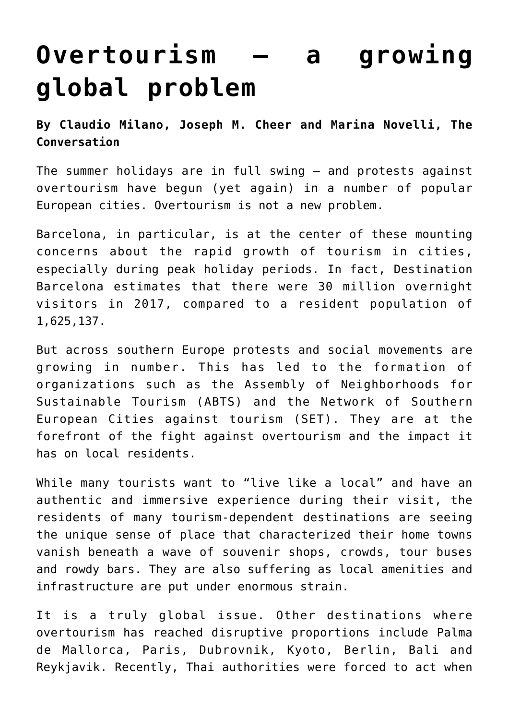## **[Overtourism — a growing](https://www.laketahoenews.net/2018/07/overtourism-a-growing-global-problem/) [global problem](https://www.laketahoenews.net/2018/07/overtourism-a-growing-global-problem/)**

**By Claudio Milano, Joseph M. Cheer and Marina Novelli, The Conversation**

The summer holidays are in full swing – and protests against overtourism have begun (yet again) in a number of popular European cities. Overtourism is not a new problem.

Barcelona, in particular, is at the center of these mounting concerns about the rapid growth of tourism in cities, especially during peak holiday periods. In fact, Destination Barcelona estimates that there were 30 million overnight visitors in 2017, compared to a resident population of 1,625,137.

But across southern Europe protests and social movements are growing in number. This has led to the formation of organizations such as the Assembly of Neighborhoods for Sustainable Tourism (ABTS) and the Network of Southern European Cities against tourism (SET). They are at the forefront of the fight against overtourism and the impact it has on local residents.

While many tourists want to "live like a local" and have an authentic and immersive experience during their visit, the residents of many tourism-dependent destinations are seeing the unique sense of place that characterized their home towns vanish beneath a wave of souvenir shops, crowds, tour buses and rowdy bars. They are also suffering as local amenities and infrastructure are put under enormous strain.

It is a truly global issue. Other destinations where overtourism has reached disruptive proportions include Palma de Mallorca, Paris, Dubrovnik, Kyoto, Berlin, Bali and Reykjavik. Recently, Thai authorities were forced to act when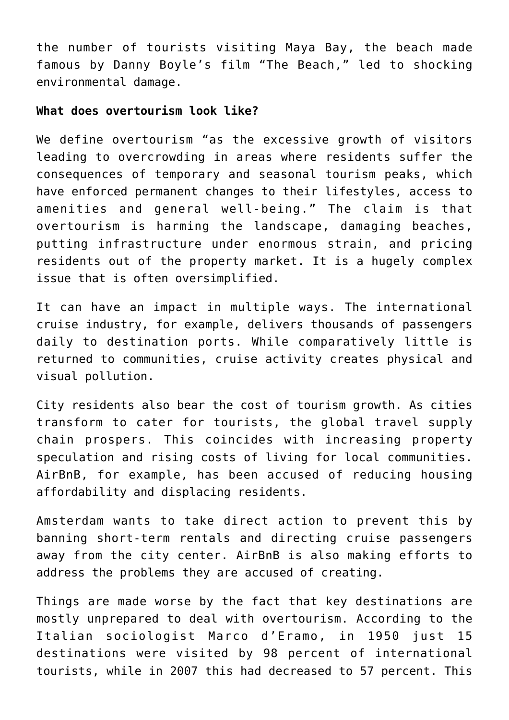the number of tourists visiting Maya Bay, the beach made famous by Danny Boyle's film "The Beach," led to shocking environmental damage.

## **What does overtourism look like?**

We define overtourism "as the excessive growth of visitors leading to overcrowding in areas where residents suffer the consequences of temporary and seasonal tourism peaks, which have enforced permanent changes to their lifestyles, access to amenities and general well-being." The claim is that overtourism is harming the landscape, damaging beaches, putting infrastructure under enormous strain, and pricing residents out of the property market. It is a hugely complex issue that is often oversimplified.

It can have an impact in multiple ways. The international cruise industry, for example, delivers thousands of passengers daily to destination ports. While comparatively little is returned to communities, cruise activity creates physical and visual pollution.

City residents also bear the cost of tourism growth. As cities transform to cater for tourists, the global travel supply chain prospers. This coincides with increasing property speculation and rising costs of living for local communities. AirBnB, for example, has been accused of reducing housing affordability and displacing residents.

Amsterdam wants to take direct action to prevent this by banning short-term rentals and directing cruise passengers away from the city center. AirBnB is also making efforts to address the problems they are accused of creating.

Things are made worse by the fact that key destinations are mostly unprepared to deal with overtourism. According to the Italian sociologist Marco d'Eramo, in 1950 just 15 destinations were visited by 98 percent of international tourists, while in 2007 this had decreased to 57 percent. This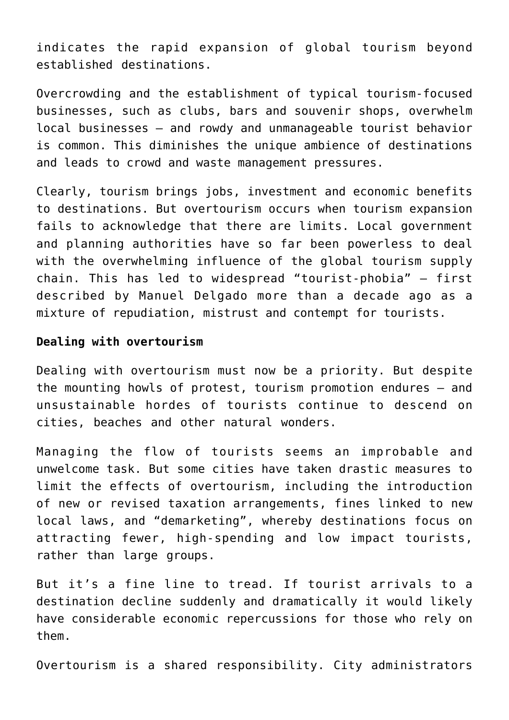indicates the rapid expansion of global tourism beyond established destinations.

Overcrowding and the establishment of typical tourism-focused businesses, such as clubs, bars and souvenir shops, overwhelm local businesses – and rowdy and unmanageable tourist behavior is common. This diminishes the unique ambience of destinations and leads to crowd and waste management pressures.

Clearly, tourism brings jobs, investment and economic benefits to destinations. But overtourism occurs when tourism expansion fails to acknowledge that there are limits. Local government and planning authorities have so far been powerless to deal with the overwhelming influence of the global tourism supply chain. This has led to widespread "tourist-phobia" – first described by Manuel Delgado more than a decade ago as a mixture of repudiation, mistrust and contempt for tourists.

## **Dealing with overtourism**

Dealing with overtourism must now be a priority. But despite the mounting howls of protest, tourism promotion endures – and unsustainable hordes of tourists continue to descend on cities, beaches and other natural wonders.

Managing the flow of tourists seems an improbable and unwelcome task. But some cities have taken drastic measures to limit the effects of overtourism, including the introduction of new or revised taxation arrangements, fines linked to new local laws, and "demarketing", whereby destinations focus on attracting fewer, high-spending and low impact tourists, rather than large groups.

But it's a fine line to tread. If tourist arrivals to a destination decline suddenly and dramatically it would likely have considerable economic repercussions for those who rely on them.

Overtourism is a shared responsibility. City administrators